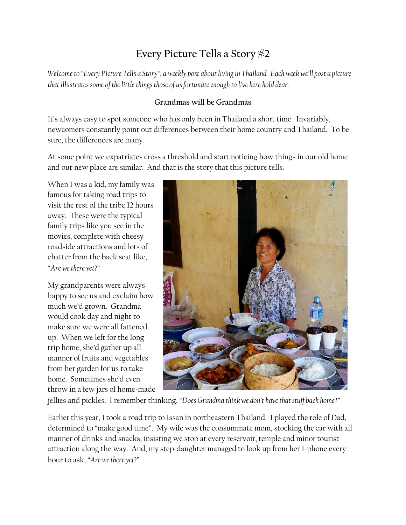## **Every Picture Tells a Story #2**

*Welcome to "Every Picture Tells a Story"; a weekly post about living in Thailand. Each week we'll post a picture that illustrates some of the little things those of us fortunate enough to live here hold dear.*

## **Grandmas will be Grandmas**

It's always easy to spot someone who has only been in Thailand a short time. Invariably, newcomers constantly point out differences between their home country and Thailand. To be sure, the differences are many.

At some point we expatriates cross a threshold and start noticing how things in our old home and our new place are similar. And that is the story that this picture tells.

When I was a kid, my family was famous for taking road trips to visit the rest of the tribe 12 hours away. These were the typical family trips like you see in the movies, complete with cheesy roadside attractions and lots of chatter from the back seat like, "*Are we there yet*?"

My grandparents were always happy to see us and exclaim how much we'd grown. Grandma would cook day and night to make sure we were all fattened up. When we left for the long trip home, she'd gather up all manner of fruits and vegetables from her garden for us to take home. Sometimes she'd even throw in a few jars of home-made



jellies and pickles. I remember thinking, "*Does Grandma think we don't have that stuff back home*?"

Earlier this year, I took a road trip to Issan in northeastern Thailand. I played the role of Dad, determined to "make good time". My wife was the consummate mom, stocking the car with all manner of drinks and snacks; insisting we stop at every reservoir, temple and minor tourist attraction along the way. And, my step-daughter managed to look up from her I-phone every hour to ask, "*Are we there yet*?"